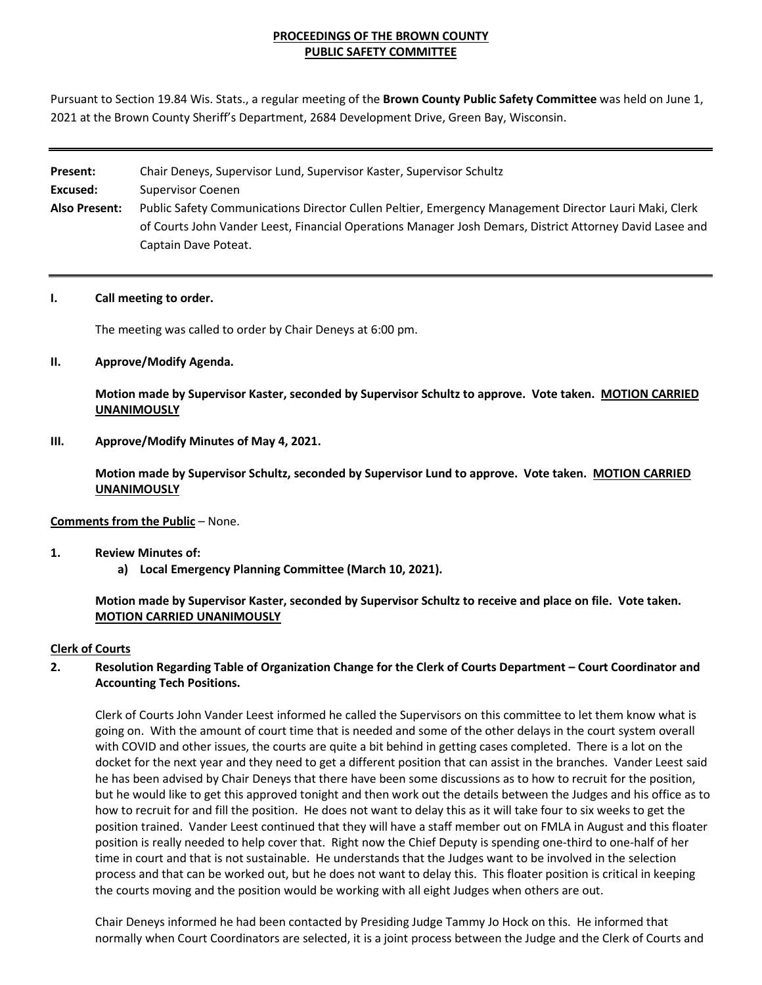## **PROCEEDINGS OF THE BROWN COUNTY PUBLIC SAFETY COMMITTEE**

Pursuant to Section 19.84 Wis. Stats., a regular meeting of the **Brown County Public Safety Committee** was held on June 1, 2021 at the Brown County Sheriff's Department, 2684 Development Drive, Green Bay, Wisconsin.

| Present:             | Chair Deneys, Supervisor Lund, Supervisor Kaster, Supervisor Schultz                                     |
|----------------------|----------------------------------------------------------------------------------------------------------|
| Excused:             | Supervisor Coenen                                                                                        |
| <b>Also Present:</b> | Public Safety Communications Director Cullen Peltier, Emergency Management Director Lauri Maki, Clerk    |
|                      | of Courts John Vander Leest, Financial Operations Manager Josh Demars, District Attorney David Lasee and |
|                      | Captain Dave Poteat.                                                                                     |

#### **I. Call meeting to order.**

The meeting was called to order by Chair Deneys at 6:00 pm.

#### **II. Approve/Modify Agenda.**

**Motion made by Supervisor Kaster, seconded by Supervisor Schultz to approve. Vote taken. MOTION CARRIED UNANIMOUSLY**

#### **III. Approve/Modify Minutes of May 4, 2021.**

**Motion made by Supervisor Schultz, seconded by Supervisor Lund to approve. Vote taken. MOTION CARRIED UNANIMOUSLY**

#### **Comments from the Public** – None.

#### **1. Review Minutes of:**

**a) Local Emergency Planning Committee (March 10, 2021).**

**Motion made by Supervisor Kaster, seconded by Supervisor Schultz to receive and place on file. Vote taken. MOTION CARRIED UNANIMOUSLY**

#### **Clerk of Courts**

## **2. Resolution Regarding Table of Organization Change for the Clerk of Courts Department – Court Coordinator and Accounting Tech Positions.**

Clerk of Courts John Vander Leest informed he called the Supervisors on this committee to let them know what is going on. With the amount of court time that is needed and some of the other delays in the court system overall with COVID and other issues, the courts are quite a bit behind in getting cases completed. There is a lot on the docket for the next year and they need to get a different position that can assist in the branches. Vander Leest said he has been advised by Chair Deneys that there have been some discussions as to how to recruit for the position, but he would like to get this approved tonight and then work out the details between the Judges and his office as to how to recruit for and fill the position. He does not want to delay this as it will take four to six weeks to get the position trained. Vander Leest continued that they will have a staff member out on FMLA in August and this floater position is really needed to help cover that. Right now the Chief Deputy is spending one-third to one-half of her time in court and that is not sustainable. He understands that the Judges want to be involved in the selection process and that can be worked out, but he does not want to delay this. This floater position is critical in keeping the courts moving and the position would be working with all eight Judges when others are out.

Chair Deneys informed he had been contacted by Presiding Judge Tammy Jo Hock on this. He informed that normally when Court Coordinators are selected, it is a joint process between the Judge and the Clerk of Courts and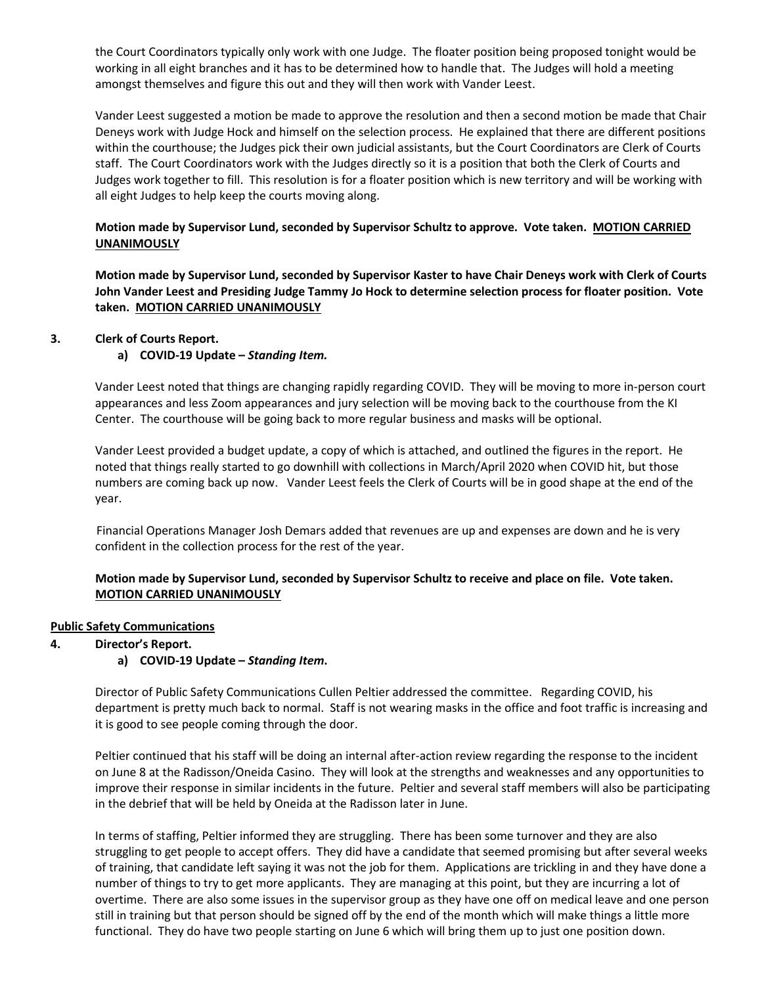the Court Coordinators typically only work with one Judge. The floater position being proposed tonight would be working in all eight branches and it has to be determined how to handle that. The Judges will hold a meeting amongst themselves and figure this out and they will then work with Vander Leest.

Vander Leest suggested a motion be made to approve the resolution and then a second motion be made that Chair Deneys work with Judge Hock and himself on the selection process. He explained that there are different positions within the courthouse; the Judges pick their own judicial assistants, but the Court Coordinators are Clerk of Courts staff. The Court Coordinators work with the Judges directly so it is a position that both the Clerk of Courts and Judges work together to fill. This resolution is for a floater position which is new territory and will be working with all eight Judges to help keep the courts moving along.

## **Motion made by Supervisor Lund, seconded by Supervisor Schultz to approve. Vote taken. MOTION CARRIED UNANIMOUSLY**

**Motion made by Supervisor Lund, seconded by Supervisor Kaster to have Chair Deneys work with Clerk of Courts John Vander Leest and Presiding Judge Tammy Jo Hock to determine selection process for floater position. Vote taken. MOTION CARRIED UNANIMOUSLY**

## **3. Clerk of Courts Report.**

## **a) COVID-19 Update –** *Standing Item.*

Vander Leest noted that things are changing rapidly regarding COVID. They will be moving to more in-person court appearances and less Zoom appearances and jury selection will be moving back to the courthouse from the KI Center. The courthouse will be going back to more regular business and masks will be optional.

Vander Leest provided a budget update, a copy of which is attached, and outlined the figures in the report. He noted that things really started to go downhill with collections in March/April 2020 when COVID hit, but those numbers are coming back up now. Vander Leest feels the Clerk of Courts will be in good shape at the end of the year.

 Financial Operations Manager Josh Demars added that revenues are up and expenses are down and he is very confident in the collection process for the rest of the year.

## **Motion made by Supervisor Lund, seconded by Supervisor Schultz to receive and place on file. Vote taken. MOTION CARRIED UNANIMOUSLY**

#### **Public Safety Communications**

**4. Director's Report.**

#### **a) COVID-19 Update –** *Standing Item***.**

Director of Public Safety Communications Cullen Peltier addressed the committee. Regarding COVID, his department is pretty much back to normal. Staff is not wearing masks in the office and foot traffic is increasing and it is good to see people coming through the door.

Peltier continued that his staff will be doing an internal after-action review regarding the response to the incident on June 8 at the Radisson/Oneida Casino. They will look at the strengths and weaknesses and any opportunities to improve their response in similar incidents in the future. Peltier and several staff members will also be participating in the debrief that will be held by Oneida at the Radisson later in June.

In terms of staffing, Peltier informed they are struggling. There has been some turnover and they are also struggling to get people to accept offers. They did have a candidate that seemed promising but after several weeks of training, that candidate left saying it was not the job for them. Applications are trickling in and they have done a number of things to try to get more applicants. They are managing at this point, but they are incurring a lot of overtime. There are also some issues in the supervisor group as they have one off on medical leave and one person still in training but that person should be signed off by the end of the month which will make things a little more functional. They do have two people starting on June 6 which will bring them up to just one position down.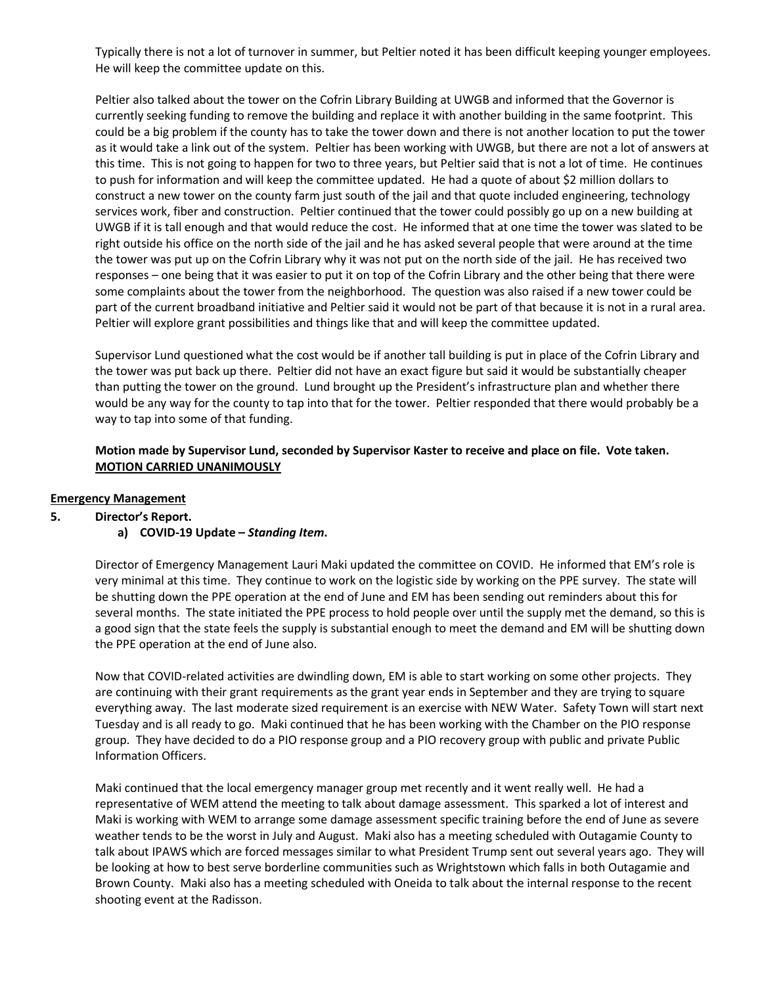Typically there is not a lot of turnover in summer, but Peltier noted it has been difficult keeping younger employees. He will keep the committee update on this.

Peltier also talked about the tower on the Cofrin Library Building at UWGB and informed that the Governor is currently seeking funding to remove the building and replace it with another building in the same footprint. This could be a big problem if the county has to take the tower down and there is not another location to put the tower as it would take a link out of the system. Peltier has been working with UWGB, but there are not a lot of answers at this time. This is not going to happen for two to three years, but Peltier said that is not a lot of time. He continues to push for information and will keep the committee updated. He had a quote of about \$2 million dollars to construct a new tower on the county farm just south of the jail and that quote included engineering, technology services work, fiber and construction. Peltier continued that the tower could possibly go up on a new building at UWGB if it is tall enough and that would reduce the cost. He informed that at one time the tower was slated to be right outside his office on the north side of the jail and he has asked several people that were around at the time the tower was put up on the Cofrin Library why it was not put on the north side of the jail. He has received two responses – one being that it was easier to put it on top of the Cofrin Library and the other being that there were some complaints about the tower from the neighborhood. The question was also raised if a new tower could be part of the current broadband initiative and Peltier said it would not be part of that because it is not in a rural area. Peltier will explore grant possibilities and things like that and will keep the committee updated.

Supervisor Lund questioned what the cost would be if another tall building is put in place of the Cofrin Library and the tower was put back up there. Peltier did not have an exact figure but said it would be substantially cheaper than putting the tower on the ground. Lund brought up the President's infrastructure plan and whether there would be any way for the county to tap into that for the tower. Peltier responded that there would probably be a way to tap into some of that funding.

## **Motion made by Supervisor Lund, seconded by Supervisor Kaster to receive and place on file. Vote taken. MOTION CARRIED UNANIMOUSLY**

#### **Emergency Management**

**5. Director's Report.**

#### **a) COVID-19 Update –** *Standing Item***.**

Director of Emergency Management Lauri Maki updated the committee on COVID. He informed that EM's role is very minimal at this time. They continue to work on the logistic side by working on the PPE survey. The state will be shutting down the PPE operation at the end of June and EM has been sending out reminders about this for several months. The state initiated the PPE process to hold people over until the supply met the demand, so this is a good sign that the state feels the supply is substantial enough to meet the demand and EM will be shutting down the PPE operation at the end of June also.

Now that COVID-related activities are dwindling down, EM is able to start working on some other projects. They are continuing with their grant requirements as the grant year ends in September and they are trying to square everything away. The last moderate sized requirement is an exercise with NEW Water. Safety Town will start next Tuesday and is all ready to go. Maki continued that he has been working with the Chamber on the PIO response group. They have decided to do a PIO response group and a PIO recovery group with public and private Public Information Officers.

Maki continued that the local emergency manager group met recently and it went really well. He had a representative of WEM attend the meeting to talk about damage assessment. This sparked a lot of interest and Maki is working with WEM to arrange some damage assessment specific training before the end of June as severe weather tends to be the worst in July and August. Maki also has a meeting scheduled with Outagamie County to talk about IPAWS which are forced messages similar to what President Trump sent out several years ago. They will be looking at how to best serve borderline communities such as Wrightstown which falls in both Outagamie and Brown County. Maki also has a meeting scheduled with Oneida to talk about the internal response to the recent shooting event at the Radisson.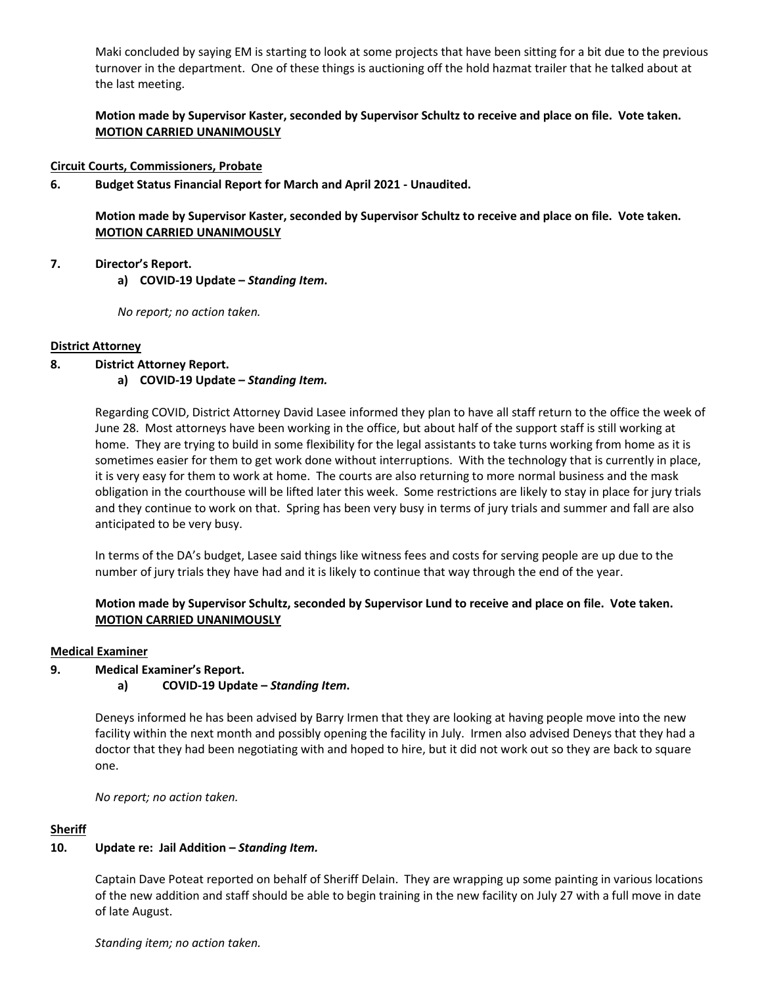Maki concluded by saying EM is starting to look at some projects that have been sitting for a bit due to the previous turnover in the department. One of these things is auctioning off the hold hazmat trailer that he talked about at the last meeting.

**Motion made by Supervisor Kaster, seconded by Supervisor Schultz to receive and place on file. Vote taken. MOTION CARRIED UNANIMOUSLY**

#### **Circuit Courts, Commissioners, Probate**

**6. Budget Status Financial Report for March and April 2021 - Unaudited.**

**Motion made by Supervisor Kaster, seconded by Supervisor Schultz to receive and place on file. Vote taken. MOTION CARRIED UNANIMOUSLY**

#### **7. Director's Report.**

**a) COVID-19 Update –** *Standing Item***.** 

*No report; no action taken.* 

## **District Attorney**

## **8. District Attorney Report.**

## **a) COVID-19 Update –** *Standing Item.*

Regarding COVID, District Attorney David Lasee informed they plan to have all staff return to the office the week of June 28. Most attorneys have been working in the office, but about half of the support staff is still working at home. They are trying to build in some flexibility for the legal assistants to take turns working from home as it is sometimes easier for them to get work done without interruptions. With the technology that is currently in place, it is very easy for them to work at home. The courts are also returning to more normal business and the mask obligation in the courthouse will be lifted later this week. Some restrictions are likely to stay in place for jury trials and they continue to work on that. Spring has been very busy in terms of jury trials and summer and fall are also anticipated to be very busy.

In terms of the DA's budget, Lasee said things like witness fees and costs for serving people are up due to the number of jury trials they have had and it is likely to continue that way through the end of the year.

## **Motion made by Supervisor Schultz, seconded by Supervisor Lund to receive and place on file. Vote taken. MOTION CARRIED UNANIMOUSLY**

#### **Medical Examiner**

## **9. Medical Examiner's Report.**

#### **a) COVID-19 Update –** *Standing Item***.**

Deneys informed he has been advised by Barry Irmen that they are looking at having people move into the new facility within the next month and possibly opening the facility in July. Irmen also advised Deneys that they had a doctor that they had been negotiating with and hoped to hire, but it did not work out so they are back to square one.

*No report; no action taken.*

## **Sheriff**

## **10. Update re: Jail Addition –** *Standing Item.*

Captain Dave Poteat reported on behalf of Sheriff Delain. They are wrapping up some painting in various locations of the new addition and staff should be able to begin training in the new facility on July 27 with a full move in date of late August.

*Standing item; no action taken.*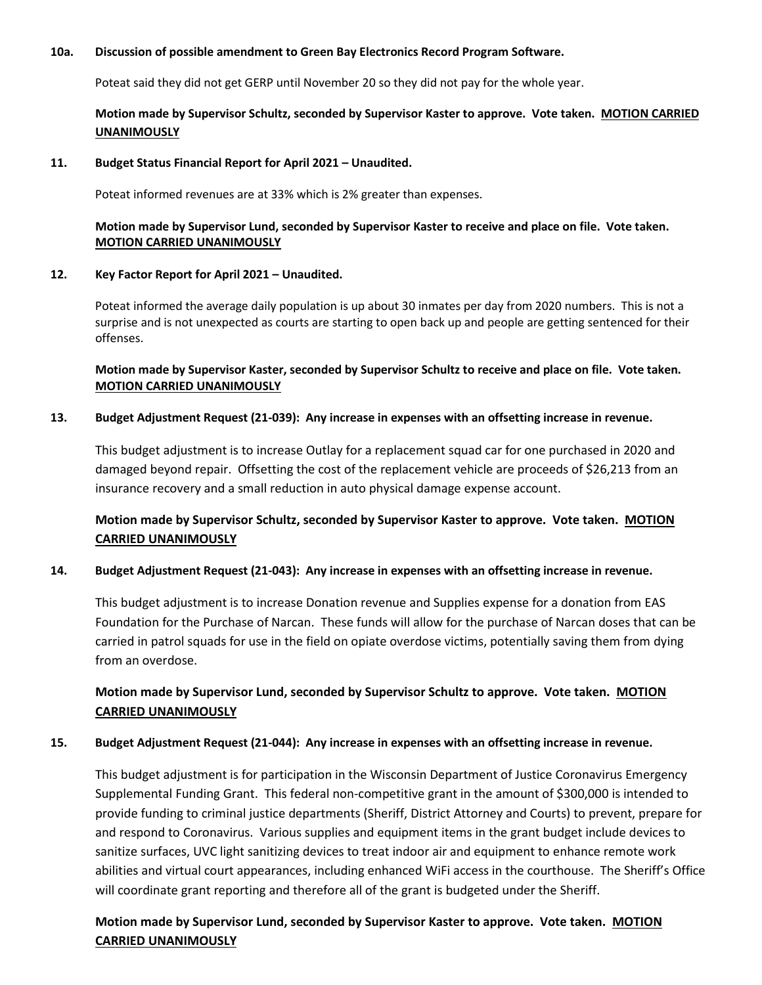## **10a. Discussion of possible amendment to Green Bay Electronics Record Program Software.**

Poteat said they did not get GERP until November 20 so they did not pay for the whole year.

## **Motion made by Supervisor Schultz, seconded by Supervisor Kaster to approve. Vote taken. MOTION CARRIED UNANIMOUSLY**

#### **11. Budget Status Financial Report for April 2021 – Unaudited.**

Poteat informed revenues are at 33% which is 2% greater than expenses.

## **Motion made by Supervisor Lund, seconded by Supervisor Kaster to receive and place on file. Vote taken. MOTION CARRIED UNANIMOUSLY**

## **12. Key Factor Report for April 2021 – Unaudited.**

Poteat informed the average daily population is up about 30 inmates per day from 2020 numbers. This is not a surprise and is not unexpected as courts are starting to open back up and people are getting sentenced for their offenses.

## **Motion made by Supervisor Kaster, seconded by Supervisor Schultz to receive and place on file. Vote taken. MOTION CARRIED UNANIMOUSLY**

## **13. Budget Adjustment Request (21-039): Any increase in expenses with an offsetting increase in revenue.**

This budget adjustment is to increase Outlay for a replacement squad car for one purchased in 2020 and damaged beyond repair. Offsetting the cost of the replacement vehicle are proceeds of \$26,213 from an insurance recovery and a small reduction in auto physical damage expense account.

# **Motion made by Supervisor Schultz, seconded by Supervisor Kaster to approve. Vote taken. MOTION CARRIED UNANIMOUSLY**

## **14. Budget Adjustment Request (21-043): Any increase in expenses with an offsetting increase in revenue.**

This budget adjustment is to increase Donation revenue and Supplies expense for a donation from EAS Foundation for the Purchase of Narcan. These funds will allow for the purchase of Narcan doses that can be carried in patrol squads for use in the field on opiate overdose victims, potentially saving them from dying from an overdose.

## **Motion made by Supervisor Lund, seconded by Supervisor Schultz to approve. Vote taken. MOTION CARRIED UNANIMOUSLY**

## **15. Budget Adjustment Request (21-044): Any increase in expenses with an offsetting increase in revenue.**

This budget adjustment is for participation in the Wisconsin Department of Justice Coronavirus Emergency Supplemental Funding Grant. This federal non-competitive grant in the amount of \$300,000 is intended to provide funding to criminal justice departments (Sheriff, District Attorney and Courts) to prevent, prepare for and respond to Coronavirus. Various supplies and equipment items in the grant budget include devices to sanitize surfaces, UVC light sanitizing devices to treat indoor air and equipment to enhance remote work abilities and virtual court appearances, including enhanced WiFi access in the courthouse. The Sheriff's Office will coordinate grant reporting and therefore all of the grant is budgeted under the Sheriff.

# **Motion made by Supervisor Lund, seconded by Supervisor Kaster to approve. Vote taken. MOTION CARRIED UNANIMOUSLY**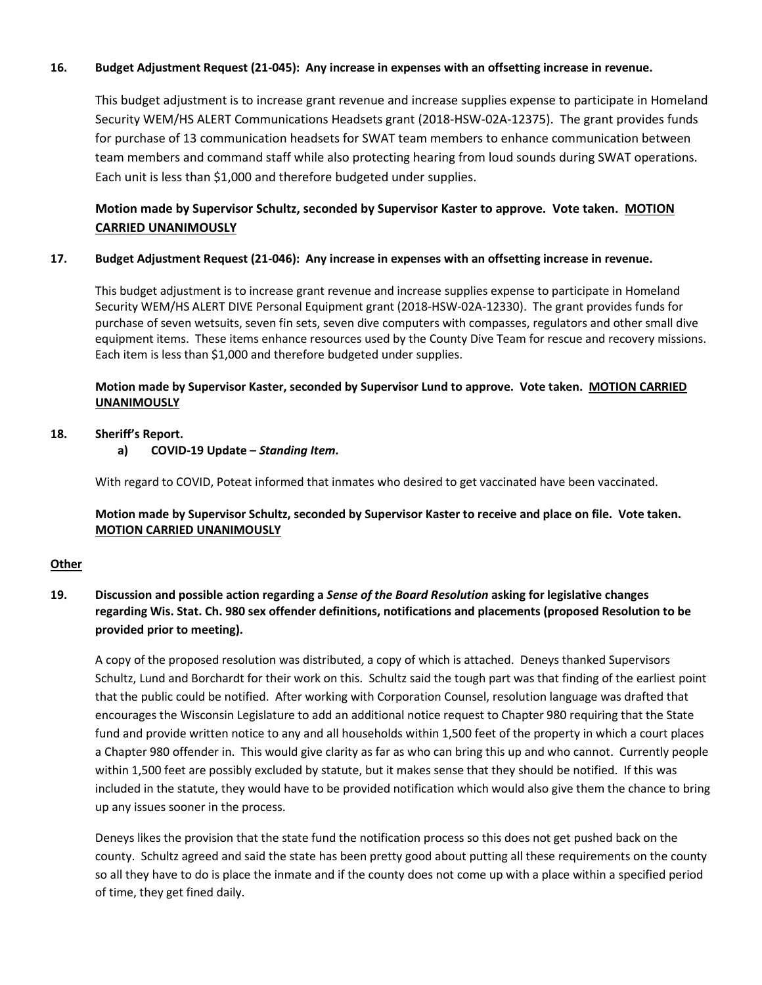## **16. Budget Adjustment Request (21-045): Any increase in expenses with an offsetting increase in revenue.**

This budget adjustment is to increase grant revenue and increase supplies expense to participate in Homeland Security WEM/HS ALERT Communications Headsets grant (2018-HSW-02A-12375). The grant provides funds for purchase of 13 communication headsets for SWAT team members to enhance communication between team members and command staff while also protecting hearing from loud sounds during SWAT operations. Each unit is less than \$1,000 and therefore budgeted under supplies.

## **Motion made by Supervisor Schultz, seconded by Supervisor Kaster to approve. Vote taken. MOTION CARRIED UNANIMOUSLY**

#### **17. Budget Adjustment Request (21-046): Any increase in expenses with an offsetting increase in revenue.**

This budget adjustment is to increase grant revenue and increase supplies expense to participate in Homeland Security WEM/HS ALERT DIVE Personal Equipment grant (2018-HSW-02A-12330). The grant provides funds for purchase of seven wetsuits, seven fin sets, seven dive computers with compasses, regulators and other small dive equipment items. These items enhance resources used by the County Dive Team for rescue and recovery missions. Each item is less than \$1,000 and therefore budgeted under supplies.

## **Motion made by Supervisor Kaster, seconded by Supervisor Lund to approve. Vote taken. MOTION CARRIED UNANIMOUSLY**

## **18. Sheriff's Report.**

**a) COVID-19 Update –** *Standing Item***.** 

With regard to COVID, Poteat informed that inmates who desired to get vaccinated have been vaccinated.

## **Motion made by Supervisor Schultz, seconded by Supervisor Kaster to receive and place on file. Vote taken. MOTION CARRIED UNANIMOUSLY**

## **Other**

## **19. Discussion and possible action regarding a** *Sense of the Board Resolution* **asking for legislative changes regarding Wis. Stat. Ch. 980 sex offender definitions, notifications and placements (proposed Resolution to be provided prior to meeting).**

A copy of the proposed resolution was distributed, a copy of which is attached. Deneys thanked Supervisors Schultz, Lund and Borchardt for their work on this. Schultz said the tough part was that finding of the earliest point that the public could be notified. After working with Corporation Counsel, resolution language was drafted that encourages the Wisconsin Legislature to add an additional notice request to Chapter 980 requiring that the State fund and provide written notice to any and all households within 1,500 feet of the property in which a court places a Chapter 980 offender in. This would give clarity as far as who can bring this up and who cannot. Currently people within 1,500 feet are possibly excluded by statute, but it makes sense that they should be notified. If this was included in the statute, they would have to be provided notification which would also give them the chance to bring up any issues sooner in the process.

Deneys likes the provision that the state fund the notification process so this does not get pushed back on the county. Schultz agreed and said the state has been pretty good about putting all these requirements on the county so all they have to do is place the inmate and if the county does not come up with a place within a specified period of time, they get fined daily.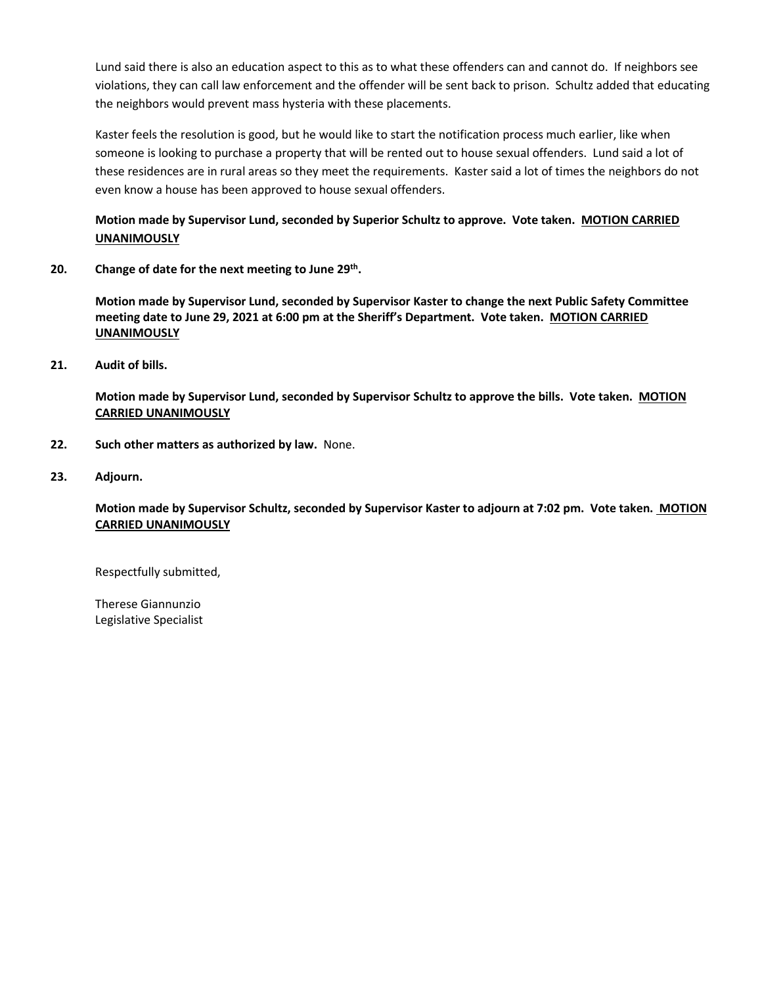Lund said there is also an education aspect to this as to what these offenders can and cannot do. If neighbors see violations, they can call law enforcement and the offender will be sent back to prison. Schultz added that educating the neighbors would prevent mass hysteria with these placements.

Kaster feels the resolution is good, but he would like to start the notification process much earlier, like when someone is looking to purchase a property that will be rented out to house sexual offenders. Lund said a lot of these residences are in rural areas so they meet the requirements. Kaster said a lot of times the neighbors do not even know a house has been approved to house sexual offenders.

**Motion made by Supervisor Lund, seconded by Superior Schultz to approve. Vote taken. MOTION CARRIED UNANIMOUSLY**

**20. Change of date for the next meeting to June 29th.** 

**Motion made by Supervisor Lund, seconded by Supervisor Kaster to change the next Public Safety Committee meeting date to June 29, 2021 at 6:00 pm at the Sheriff's Department. Vote taken. MOTION CARRIED UNANIMOUSLY**

**21. Audit of bills.**

**Motion made by Supervisor Lund, seconded by Supervisor Schultz to approve the bills. Vote taken. MOTION CARRIED UNANIMOUSLY**

- **22. Such other matters as authorized by law.** None.
- **23. Adjourn.**

**Motion made by Supervisor Schultz, seconded by Supervisor Kaster to adjourn at 7:02 pm. Vote taken. MOTION CARRIED UNANIMOUSLY**

Respectfully submitted,

Therese Giannunzio Legislative Specialist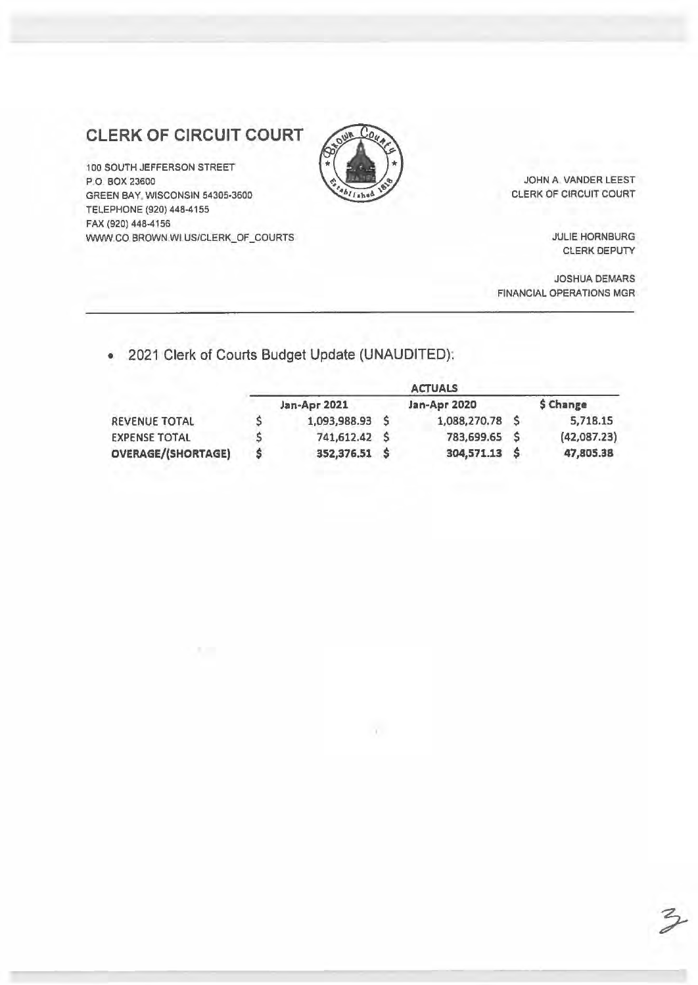# **CLERK OF CIRCUIT COURT**

100 SOUTH JEFFERSON STREET P.O BOX 23600 GREEN BAY, WISCONSIN 54305-3600 TELEPHONE (920) 448-4155 FAX (920) 448-4156 WWW.CO BROWN.WI US/CLERK\_OF\_COURTS

大学



JOHN A. VANDER LEEST CLERK OF CIRCUIT COURT

> JULIE HORNBURG CLERK DEPUTY

JOSHUA DEMARS FINANCIAL OPERATIONS MGR

# • 2021 Clerk of Courts Budget Update (UNAUDITED):

|                           | <b>ACTUALS</b> |                 |  |                 |    |             |  |
|---------------------------|----------------|-----------------|--|-----------------|----|-------------|--|
|                           |                | Jan-Apr 2021    |  | Jan-Apr 2020    |    | \$ Change   |  |
| REVENUE TOTAL             |                | 1,093,988.93 \$ |  | 1,088,270.78 \$ |    | 5,718.15    |  |
| <b>EXPENSE TOTAL</b>      |                | 741,612.42 \$   |  | 783,699.65 \$   |    | (42,087.23) |  |
| <b>OVERAGE/(SHORTAGE)</b> |                | 352,376.51 \$   |  | 304,571.13      | -S | 47,805.38   |  |

 $\mathcal{X}$  .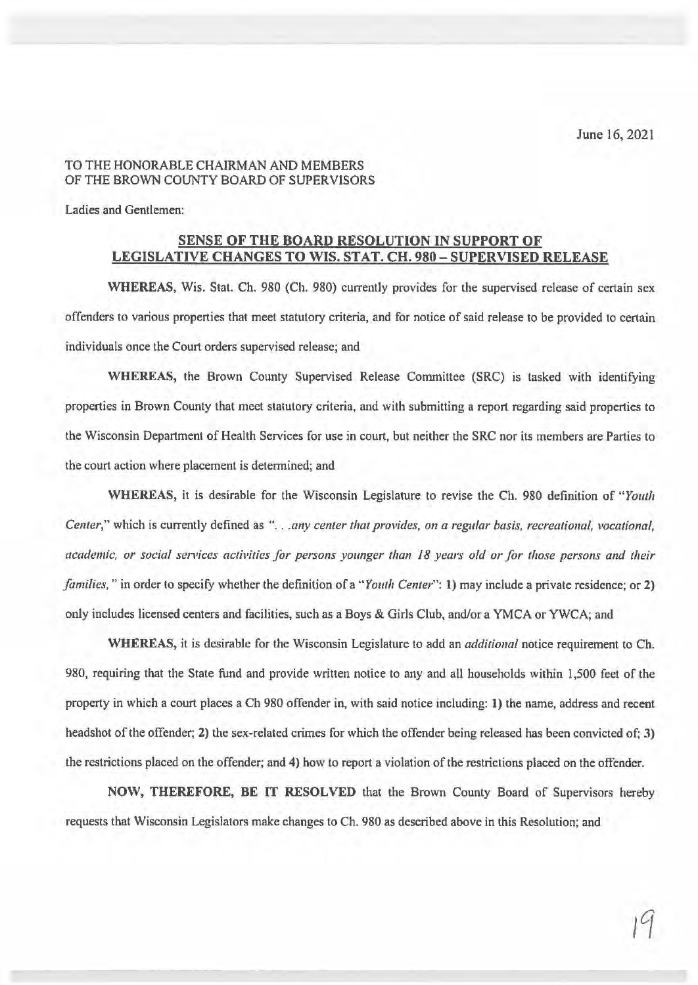## TO THE HONORABLE CHAIRMAN AND MEMBERS OF THE BROWN COUNTY BOARD OF SUPERVISORS

Ladies and Gentlemen:

## **SENSE OF THE BOARD RESOLUTION IN SUPPORT OF LEGISLATIVE CHANGES TO WIS. STAT. CH. 980** - **SUPERVISED RELEASE**

**WHEREAS,** Wis. Stat. Ch. 980 (Ch. 980) currently provides for the supervised release of certain sex offenders to various properties that meet statutory criteria, and for notice of said release to be provided to certain individuals once the Court orders supervised release; and

**WHEREAS,** the Brown County Supervised Release Committee (SRC) is tasked with identifying properties in Brown County that meet statutory criteria, and with submitting a report regarding said properties to the Wisconsin Department of Health Services for use in court, but neither the SRC nor its members are Parties to the court action where placement is determined; and

**WHEREAS,** it is desirable for the Wisconsin Legislature to revise the Ch. 980 definition of *"Youth Center*," which is currently defined as "... *any center that provides, on a regular basis, recreational, vocational,* academic, or social services activities for persons younger than 18 years old or for those persons and their *families,"* in order to specify whether the definition of a *"Youth Center":* **1)** may include a private residence; or 2) only includes licensed centers and facilities, such as a Boys & Girls Club, and/or a YMCA or YWCA; and

**WHEREAS,** it is desirable for the Wisconsin Legislature to add an *additional* notice requirement to Ch. 980, requiring that the State fund and provide written notice to any and all households within 1,500 feet of the property in which a court places a Ch 980 offender in, with said notice including: **1)** the name, address and recent headshot of the offender; **2)** the sex-related crimes for which the offender being released has been convicted of; 3) the restrictions placed on the offender; and **4)** how to report a violation of the restrictions placed on the offender.

**NOW, THEREFORE, BE IT RESOLVED** that the Brown County Board of Supervisors hereby requests that Wisconsin Legislators make changes to Ch. 980 as described above in this Resolution; and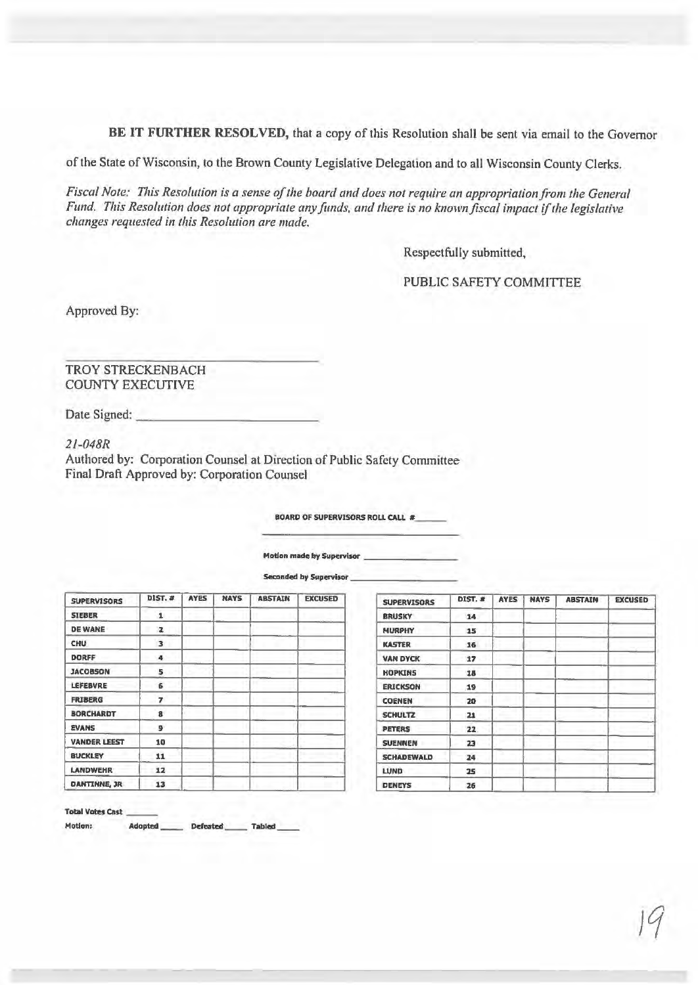**BE IT FURTHER RESOLVED,** that a copy of this Resolution shall be sent via email to the Governor

of the Stale of Wisconsin, to the Brown County Legislative Delegation and to all Wisconsin County Clerks.

*Fiscal Note: This Resolution is a sense of the board and does not require an appropriation from the General Fund. This Resolution does not appropriate any funds, and there is no known fiscal impact if the legislative changes requested in this Resolution are made.* 

Respectfully submitted,

PUBLIC SAFETY COMMITTEE

Approved By:

TROY STRECKENBACH COUNTY EXECUTIVE

Date Signed: \_

*21-048R* 

Authored by: Corporation Counsel at Direction of Public Safety Committee Final Draft Approved by: Corporation Counsel

**BOARD OF SUPERVISORS ROLL CALL**  $\#$ 

**Motion made by Supervisor** 

**Seconded by Supervisor** 

| <b>SUPERVISORS</b>   | DIST. #        | <b>AYES</b> | <b>NAYS</b> | <b>ABSTAIN</b> | <b>EXCUSED</b> | <b>SUPERVISORS</b> | <b>DIST. #</b> |
|----------------------|----------------|-------------|-------------|----------------|----------------|--------------------|----------------|
| <b>SIEBER</b>        | 1              |             |             |                |                | <b>BRUSKY</b>      | 14             |
| <b>DE WANE</b>       | $\overline{z}$ |             |             |                |                | <b>MURPHY</b>      | 15             |
| <b>CHU</b>           | 3              |             |             |                |                | <b>KASTER</b>      | 16             |
| <b>DORFF</b>         | 4              |             |             |                |                | <b>VAN DYCK</b>    | 17             |
| <b>JACOBSON</b>      | 5              |             |             |                |                | <b>HOPKINS</b>     | 18             |
| LEFEBVRE             | 6              |             |             |                |                | <b>ERICKSON</b>    | 19             |
| <b>FRIBERG</b>       | 7              |             |             |                |                | <b>COENEN</b>      | 20             |
| <b>BORCHARDT</b>     | 8              |             |             |                |                | <b>SCHULTZ</b>     | 21             |
| <b>EVANS</b>         | 9              |             |             |                |                | PETERS             | 22             |
| <b>VANDER LEEST</b>  | 10             |             |             |                |                | <b>SUENNEN</b>     | 23             |
| <b>BUCKLEY</b>       | 11             |             |             |                |                | <b>SCHADEWALD</b>  | 24             |
| <b>LANDWEHR</b>      | 12             |             |             |                |                | <b>LUND</b>        | 25             |
| <b>DANTINNE, JR.</b> | 13             |             |             |                |                | <b>DENEYS</b>      | 26             |

| <b>SUPERVISORS</b> | <b>DIST. #</b> | <b>AYES</b> | <b>NAYS</b> | <b>ABSTAIN</b> | <b>EXCUSED</b> |
|--------------------|----------------|-------------|-------------|----------------|----------------|
| <b>BRUSKY</b>      | 14             |             |             |                |                |
| <b>MURPHY</b>      | 15             |             |             |                |                |
| <b>KASTER</b>      | 16             |             |             |                |                |
| <b>VAN DYCK</b>    | 17             |             |             |                |                |
| <b>HOPKINS</b>     | 18             |             |             |                |                |
| <b>ERICKSON</b>    | 19             |             |             |                |                |
| <b>COENEN</b>      | 20             |             |             |                |                |
| <b>SCHULTZ</b>     | 21             |             |             |                |                |
| PETERS             | 22             |             |             |                |                |
| <b>SUENNEN</b>     | 23             |             |             |                |                |
| <b>SCHADEWALD</b>  | 24             |             |             |                |                |
| <b>LUND</b>        | 25             |             |             |                |                |
| <b>DENEYS</b>      | 26             |             |             |                |                |

**Total Votes cast** 

**Motion: Adopted \_\_ Defeated \_\_ Tabled \_\_**